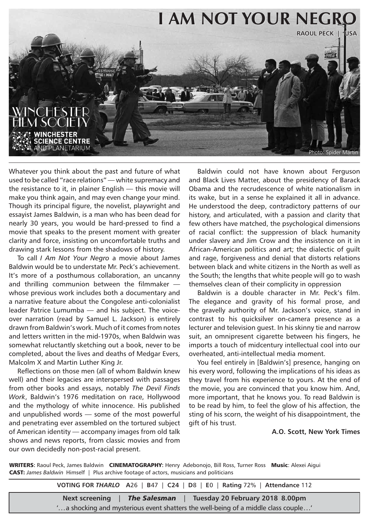

Whatever you think about the past and future of what used to be called "race relations" — white supremacy and the resistance to it, in plainer English — this movie will make you think again, and may even change your mind. Though its principal figure, the novelist, playwright and essayist James Baldwin, is a man who has been dead for nearly 30 years, you would be hard-pressed to find a movie that speaks to the present moment with greater clarity and force, insisting on uncomfortable truths and drawing stark lessons from the shadows of history.

To call *I Am Not Your Negro* a movie about James Baldwin would be to understate Mr. Peck's achievement. It's more of a posthumous collaboration, an uncanny and thrilling communion between the filmmaker whose previous work includes both a documentary and a narrative feature about the Congolese anti-colonialist leader Patrice Lumumba — and his subject. The voiceover narration (read by Samuel L. Jackson) is entirely drawn from Baldwin's work. Much of it comes from notes and letters written in the mid-1970s, when Baldwin was somewhat reluctantly sketching out a book, never to be completed, about the lives and deaths of Medgar Evers, Malcolm X and Martin Luther King Jr.

Reflections on those men (all of whom Baldwin knew well) and their legacies are interspersed with passages from other books and essays, notably *The Devil Finds Work*, Baldwin's 1976 meditation on race, Hollywood and the mythology of white innocence. His published and unpublished words — some of the most powerful and penetrating ever assembled on the tortured subject of American identity — accompany images from old talk shows and news reports, from classic movies and from our own decidedly non-post-racial present.

Baldwin could not have known about Ferguson and Black Lives Matter, about the presidency of Barack Obama and the recrudescence of white nationalism in its wake, but in a sense he explained it all in advance. He understood the deep, contradictory patterns of our history, and articulated, with a passion and clarity that few others have matched, the psychological dimensions of racial conflict: the suppression of black humanity under slavery and Jim Crow and the insistence on it in African-American politics and art; the dialectic of guilt and rage, forgiveness and denial that distorts relations between black and white citizens in the North as well as the South; the lengths that white people will go to wash themselves clean of their complicity in oppression

Baldwin is a double character in Mr. Peck's film. The elegance and gravity of his formal prose, and the gravelly authority of Mr. Jackson's voice, stand in contrast to his quicksilver on-camera presence as a lecturer and television guest. In his skinny tie and narrow suit, an omnipresent cigarette between his fingers, he imports a touch of midcentury intellectual cool into our overheated, anti-intellectual media moment.

You feel entirely in [Baldwin's] presence, hanging on his every word, following the implications of his ideas as they travel from his experience to yours. At the end of the movie, you are convinced that you know him. And, more important, that he knows you. To read Baldwin is to be read by him, to feel the glow of his affection, the sting of his scorn, the weight of his disappointment, the gift of his trust.

## **A.O. Scott, New York Times**

WRITERS: Raoul Peck, James Baldwin CINEMATOGRAPHY: Henry Adebonojo, Bill Ross, Turner Ross Music: Alexei Aigui CAST: *James Baldwin* Himself | Plus archive footage of actors, musicians and politicians

**VOTING FOR** *THARLO* **A**26 | **B**47 | **C24** | **D**8 | **E**0 | **Rating** 72% | **Attendance** 112

**Next screening** | *The Salesman* | **Tuesday 20 February 2018 8.00pm** '...a shocking and mysterious event shatters the well-being of a middle class couple...'